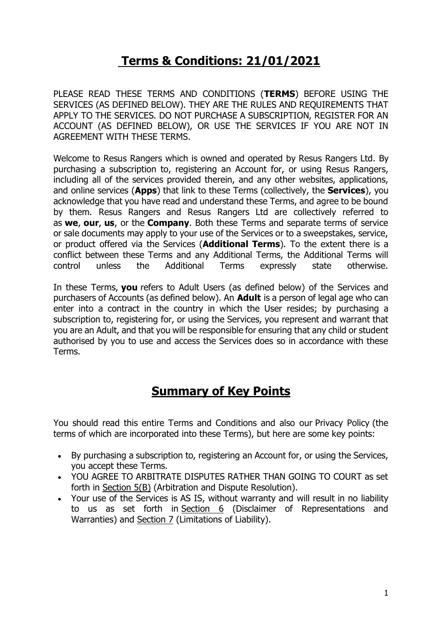# **Terms & Conditions: 21/01/2021**

PLEASE READ THESE TERMS AND CONDITIONS (**TERMS**) BEFORE USING THE SERVICES (AS DEFINED BELOW). THEY ARE THE RULES AND REQUIREMENTS THAT APPLY TO THE SERVICES. DO NOT PURCHASE A SUBSCRIPTION, REGISTER FOR AN ACCOUNT (AS DEFINED BELOW), OR USE THE SERVICES IF YOU ARE NOT IN AGREEMENT WITH THESE TERMS.

Welcome to Resus Rangers which is owned and operated by Resus Rangers Ltd. By purchasing a subscription to, registering an Account for, or using Resus Rangers, including all of the services provided therein, and any other websites, applications, and online services (**Apps**) that link to these Terms (collectively, the **Services**), you acknowledge that you have read and understand these Terms, and agree to be bound by them. Resus Rangers and Resus Rangers Ltd are collectively referred to as **we**, **our**, **us**, or the **Company**. Both these Terms and separate terms of service or sale documents may apply to your use of the Services or to a sweepstakes, service, or product offered via the Services (**Additional Terms**). To the extent there is a conflict between these Terms and any Additional Terms, the Additional Terms will control unless the Additional Terms expressly state otherwise.

In these Terms, **you** refers to Adult Users (as defined below) of the Services and purchasers of Accounts (as defined below). An **Adult** is a person of legal age who can enter into a contract in the country in which the User resides; by purchasing a subscription to, registering for, or using the Services, you represent and warrant that you are an Adult, and that you will be responsible for ensuring that any child or student authorised by you to use and access the Services does so in accordance with these Terms.

# **Summary of Key Points**

You should read this entire Terms and Conditions and also our Privacy Policy (the terms of which are incorporated into these Terms), but here are some key points:

- By purchasing a subscription to, registering an Account for, or using the Services, you accept these Terms.
- YOU AGREE TO ARBITRATE DISPUTES RATHER THAN GOING TO COURT as set forth in [Section](#page-5-0) 5(B) (Arbitration and Dispute Resolution).
- Your use of the Services is AS IS, without warranty and will result in no liability to us as set forth in [Section](#page-7-0) 6 (Disclaimer of Representations and Warranties) and [Section](#page-7-1) 7 (Limitations of Liability).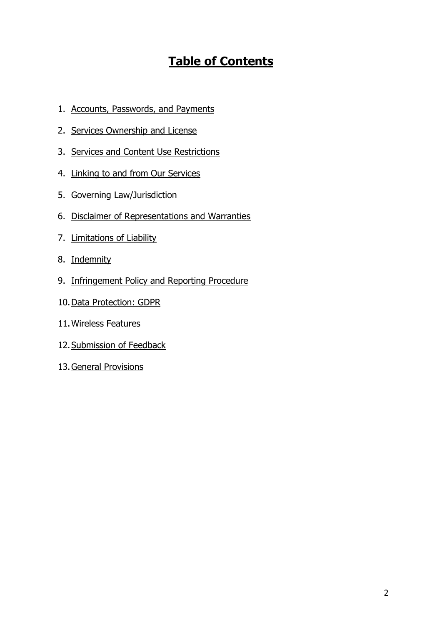# **Table of Contents**

- 1. Accounts, [Passwords,](#page-2-0) and Payments
- 2. Services [Ownership](#page-3-0) and License
- 3. Services and Content Use [Restrictions](#page-4-0)
- 4. Linking to and from Our [Services](#page-4-1)
- 5. Governing [Law/Jurisdiction](#page-5-0)
- 6. Disclaimer of [Representations](#page-7-0) and Warranties
- 7. [Limitations](#page-7-1) of Liability
- 8. [Indemnity](#page-8-0)
- 9. [Infringement](#page-9-0) Policy and Reporting Procedure
- 10[.Data Protection: GDPR](#page-9-1)
- 11[.Wireless](#page-10-0) Features
- 12. Submission of Feedback
- 13.General [Provisions](#page-11-0)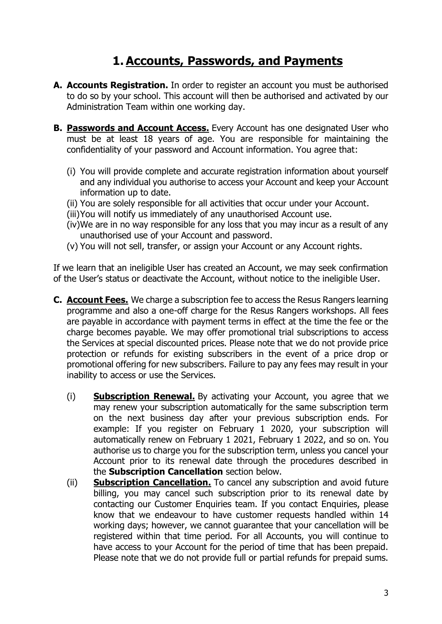# **1. Accounts, Passwords, and Payments**

- <span id="page-2-0"></span>**A. Accounts Registration.** In order to register an account you must be authorised to do so by your school. This account will then be authorised and activated by our Administration Team within one working day.
- **B. Passwords and Account Access.** Every Account has one designated User who must be at least 18 years of age. You are responsible for maintaining the confidentiality of your password and Account information. You agree that:
	- (i) You will provide complete and accurate registration information about yourself and any individual you authorise to access your Account and keep your Account information up to date.
	- (ii) You are solely responsible for all activities that occur under your Account.
	- (iii)You will notify us immediately of any unauthorised Account use.
	- (iv)We are in no way responsible for any loss that you may incur as a result of any unauthorised use of your Account and password.
	- (v) You will not sell, transfer, or assign your Account or any Account rights.

If we learn that an ineligible User has created an Account, we may seek confirmation of the User's status or deactivate the Account, without notice to the ineligible User.

- **C. Account Fees.** We charge a subscription fee to access the Resus Rangers learning programme and also a one-off charge for the Resus Rangers workshops. All fees are payable in accordance with payment terms in effect at the time the fee or the charge becomes payable. We may offer promotional trial subscriptions to access the Services at special discounted prices. Please note that we do not provide price protection or refunds for existing subscribers in the event of a price drop or promotional offering for new subscribers. Failure to pay any fees may result in your inability to access or use the Services.
	- (i) **Subscription Renewal.** By activating your Account, you agree that we may renew your subscription automatically for the same subscription term on the next business day after your previous subscription ends. For example: If you register on February 1 2020, your subscription will automatically renew on February 1 2021, February 1 2022, and so on. You authorise us to charge you for the subscription term, unless you cancel your Account prior to its renewal date through the procedures described in the **Subscription Cancellation** section below.
	- (ii) **Subscription Cancellation.** To cancel any subscription and avoid future billing, you may cancel such subscription prior to its renewal date by contacting our Customer Enquiries team. If you contact Enquiries, please know that we endeavour to have customer requests handled within 14 working days; however, we cannot guarantee that your cancellation will be registered within that time period. For all Accounts, you will continue to have access to your Account for the period of time that has been prepaid. Please note that we do not provide full or partial refunds for prepaid sums.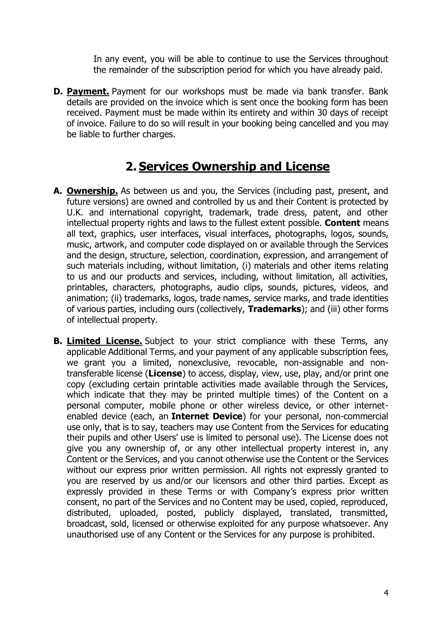In any event, you will be able to continue to use the Services throughout the remainder of the subscription period for which you have already paid.

**D. Payment.** Payment for our workshops must be made via bank transfer. Bank details are provided on the invoice which is sent once the booking form has been received. Payment must be made within its entirety and within 30 days of receipt of invoice. Failure to do so will result in your booking being cancelled and you may be liable to further charges.

### **2. Services Ownership and License**

- <span id="page-3-0"></span>**A. Ownership.** As between us and you, the Services (including past, present, and future versions) are owned and controlled by us and their Content is protected by U.K. and international copyright, trademark, trade dress, patent, and other intellectual property rights and laws to the fullest extent possible. **Content** means all text, graphics, user interfaces, visual interfaces, photographs, logos, sounds, music, artwork, and computer code displayed on or available through the Services and the design, structure, selection, coordination, expression, and arrangement of such materials including, without limitation, (i) materials and other items relating to us and our products and services, including, without limitation, all activities, printables, characters, photographs, audio clips, sounds, pictures, videos, and animation; (ii) trademarks, logos, trade names, service marks, and trade identities of various parties, including ours (collectively, **Trademarks**); and (iii) other forms of intellectual property.
- **B. Limited License.** Subject to your strict compliance with these Terms, any applicable Additional Terms, and your payment of any applicable subscription fees, we grant you a limited, nonexclusive, revocable, non-assignable and nontransferable license (**License**) to access, display, view, use, play, and/or print one copy (excluding certain printable activities made available through the Services, which indicate that they may be printed multiple times) of the Content on a personal computer, mobile phone or other wireless device, or other internetenabled device (each, an **Internet Device**) for your personal, non-commercial use only, that is to say, teachers may use Content from the Services for educating their pupils and other Users' use is limited to personal use). The License does not give you any ownership of, or any other intellectual property interest in, any Content or the Services, and you cannot otherwise use the Content or the Services without our express prior written permission. All rights not expressly granted to you are reserved by us and/or our licensors and other third parties. Except as expressly provided in these Terms or with Company's express prior written consent, no part of the Services and no Content may be used, copied, reproduced, distributed, uploaded, posted, publicly displayed, translated, transmitted, broadcast, sold, licensed or otherwise exploited for any purpose whatsoever. Any unauthorised use of any Content or the Services for any purpose is prohibited.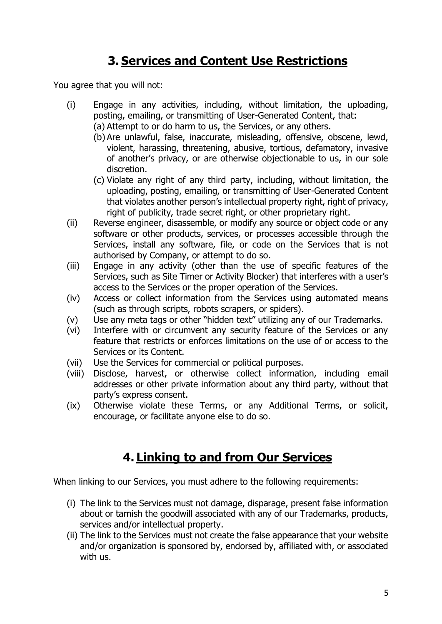# **3. Services and Content Use Restrictions**

<span id="page-4-0"></span>You agree that you will not:

- (i) Engage in any activities, including, without limitation, the uploading, posting, emailing, or transmitting of User-Generated Content, that: (a) Attempt to or do harm to us, the Services, or any others.
	- (b) Are unlawful, false, inaccurate, misleading, offensive, obscene, lewd, violent, harassing, threatening, abusive, tortious, defamatory, invasive of another's privacy, or are otherwise objectionable to us, in our sole discretion.
	- (c) Violate any right of any third party, including, without limitation, the uploading, posting, emailing, or transmitting of User-Generated Content that violates another person's intellectual property right, right of privacy, right of publicity, trade secret right, or other proprietary right.
- (ii) Reverse engineer, disassemble, or modify any source or object code or any software or other products, services, or processes accessible through the Services, install any software, file, or code on the Services that is not authorised by Company, or attempt to do so.
- (iii) Engage in any activity (other than the use of specific features of the Services, such as Site Timer or Activity Blocker) that interferes with a user's access to the Services or the proper operation of the Services.
- (iv) Access or collect information from the Services using automated means (such as through scripts, robots scrapers, or spiders).
- (v) Use any meta tags or other "hidden text" utilizing any of our Trademarks.
- (vi) Interfere with or circumvent any security feature of the Services or any feature that restricts or enforces limitations on the use of or access to the Services or its Content.
- (vii) Use the Services for commercial or political purposes.
- (viii) Disclose, harvest, or otherwise collect information, including email addresses or other private information about any third party, without that party's express consent.
- (ix) Otherwise violate these Terms, or any Additional Terms, or solicit, encourage, or facilitate anyone else to do so.

# **4. Linking to and from Our Services**

<span id="page-4-1"></span>When linking to our Services, you must adhere to the following requirements:

- (i) The link to the Services must not damage, disparage, present false information about or tarnish the goodwill associated with any of our Trademarks, products, services and/or intellectual property.
- (ii) The link to the Services must not create the false appearance that your website and/or organization is sponsored by, endorsed by, affiliated with, or associated with us.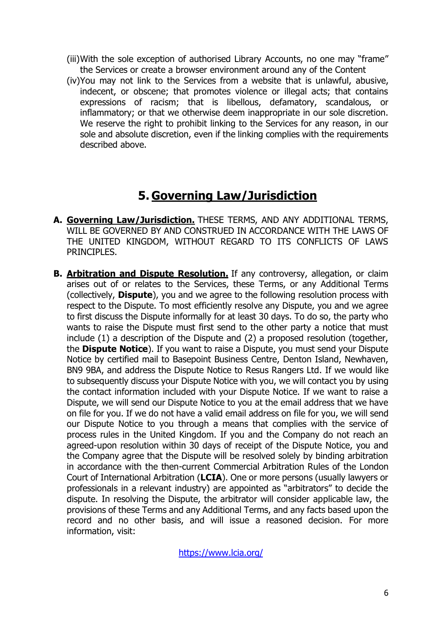- (iii)With the sole exception of authorised Library Accounts, no one may "frame" the Services or create a browser environment around any of the Content
- (iv)You may not link to the Services from a website that is unlawful, abusive, indecent, or obscene; that promotes violence or illegal acts; that contains expressions of racism; that is libellous, defamatory, scandalous, or inflammatory; or that we otherwise deem inappropriate in our sole discretion. We reserve the right to prohibit linking to the Services for any reason, in our sole and absolute discretion, even if the linking complies with the requirements described above.

# **5. Governing Law/Jurisdiction**

- <span id="page-5-0"></span>**A. Governing Law/Jurisdiction.** THESE TERMS, AND ANY ADDITIONAL TERMS, WILL BE GOVERNED BY AND CONSTRUED IN ACCORDANCE WITH THE LAWS OF THE UNITED KINGDOM, WITHOUT REGARD TO ITS CONFLICTS OF LAWS PRINCIPLES.
- **B. Arbitration and Dispute Resolution.** If any controversy, allegation, or claim arises out of or relates to the Services, these Terms, or any Additional Terms (collectively, **Dispute**), you and we agree to the following resolution process with respect to the Dispute. To most efficiently resolve any Dispute, you and we agree to first discuss the Dispute informally for at least 30 days. To do so, the party who wants to raise the Dispute must first send to the other party a notice that must include (1) a description of the Dispute and (2) a proposed resolution (together, the **Dispute Notice**). If you want to raise a Dispute, you must send your Dispute Notice by certified mail to Basepoint Business Centre, Denton Island, Newhaven, BN9 9BA, and address the Dispute Notice to Resus Rangers Ltd. If we would like to subsequently discuss your Dispute Notice with you, we will contact you by using the contact information included with your Dispute Notice. If we want to raise a Dispute, we will send our Dispute Notice to you at the email address that we have on file for you. If we do not have a valid email address on file for you, we will send our Dispute Notice to you through a means that complies with the service of process rules in the United Kingdom. If you and the Company do not reach an agreed-upon resolution within 30 days of receipt of the Dispute Notice, you and the Company agree that the Dispute will be resolved solely by binding arbitration in accordance with the then-current Commercial Arbitration Rules of the London Court of International Arbitration (**LCIA**). One or more persons (usually lawyers or professionals in a relevant industry) are appointed as "arbitrators" to decide the dispute. In resolving the Dispute, the arbitrator will consider applicable law, the provisions of these Terms and any Additional Terms, and any facts based upon the record and no other basis, and will issue a reasoned decision. For more information, visit:

<https://www.lcia.org/>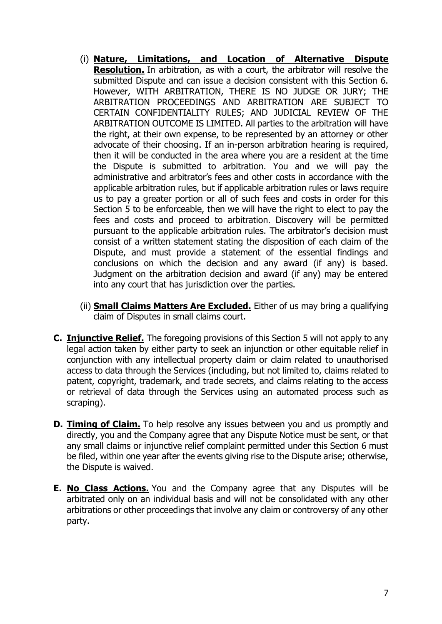- (i) **Nature, Limitations, and Location of Alternative Dispute Resolution.** In arbitration, as with a court, the arbitrator will resolve the submitted Dispute and can issue a decision consistent with this Section 6. However, WITH ARBITRATION, THERE IS NO JUDGE OR JURY; THE ARBITRATION PROCEEDINGS AND ARBITRATION ARE SUBJECT TO CERTAIN CONFIDENTIALITY RULES; AND JUDICIAL REVIEW OF THE ARBITRATION OUTCOME IS LIMITED. All parties to the arbitration will have the right, at their own expense, to be represented by an attorney or other advocate of their choosing. If an in-person arbitration hearing is required, then it will be conducted in the area where you are a resident at the time the Dispute is submitted to arbitration. You and we will pay the administrative and arbitrator's fees and other costs in accordance with the applicable arbitration rules, but if applicable arbitration rules or laws require us to pay a greater portion or all of such fees and costs in order for this Section 5 to be enforceable, then we will have the right to elect to pay the fees and costs and proceed to arbitration. Discovery will be permitted pursuant to the applicable arbitration rules. The arbitrator's decision must consist of a written statement stating the disposition of each claim of the Dispute, and must provide a statement of the essential findings and conclusions on which the decision and any award (if any) is based. Judgment on the arbitration decision and award (if any) may be entered into any court that has jurisdiction over the parties.
- (ii) **Small Claims Matters Are Excluded.** Either of us may bring a qualifying claim of Disputes in small claims court.
- **C. Injunctive Relief.** The foregoing provisions of this Section 5 will not apply to any legal action taken by either party to seek an injunction or other equitable relief in conjunction with any intellectual property claim or claim related to unauthorised access to data through the Services (including, but not limited to, claims related to patent, copyright, trademark, and trade secrets, and claims relating to the access or retrieval of data through the Services using an automated process such as scraping).
- **D. Timing of Claim.** To help resolve any issues between you and us promptly and directly, you and the Company agree that any Dispute Notice must be sent, or that any small claims or injunctive relief complaint permitted under this Section 6 must be filed, within one year after the events giving rise to the Dispute arise; otherwise, the Dispute is waived.
- **E. No Class Actions.** You and the Company agree that any Disputes will be arbitrated only on an individual basis and will not be consolidated with any other arbitrations or other proceedings that involve any claim or controversy of any other party.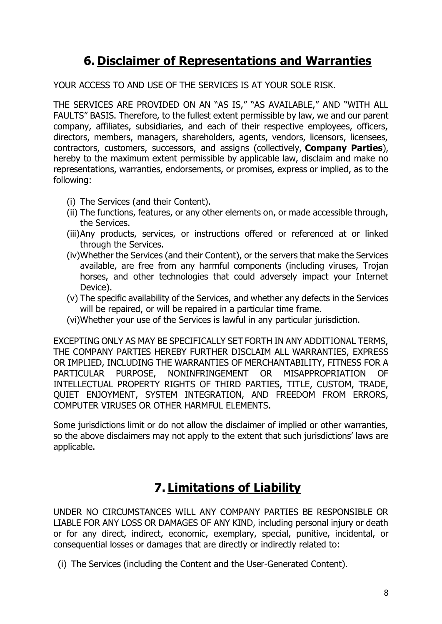# **6. Disclaimer of Representations and Warranties**

<span id="page-7-0"></span>YOUR ACCESS TO AND USE OF THE SERVICES IS AT YOUR SOLE RISK.

THE SERVICES ARE PROVIDED ON AN "AS IS," "AS AVAILABLE," AND "WITH ALL FAULTS" BASIS. Therefore, to the fullest extent permissible by law, we and our parent company, affiliates, subsidiaries, and each of their respective employees, officers, directors, members, managers, shareholders, agents, vendors, licensors, licensees, contractors, customers, successors, and assigns (collectively, **Company Parties**), hereby to the maximum extent permissible by applicable law, disclaim and make no representations, warranties, endorsements, or promises, express or implied, as to the following:

- (i) The Services (and their Content).
- (ii) The functions, features, or any other elements on, or made accessible through, the Services.
- (iii)Any products, services, or instructions offered or referenced at or linked through the Services.
- (iv)Whether the Services (and their Content), or the servers that make the Services available, are free from any harmful components (including viruses, Trojan horses, and other technologies that could adversely impact your Internet Device).
- (v) The specific availability of the Services, and whether any defects in the Services will be repaired, or will be repaired in a particular time frame.
- (vi)Whether your use of the Services is lawful in any particular jurisdiction.

EXCEPTING ONLY AS MAY BE SPECIFICALLY SET FORTH IN ANY ADDITIONAL TERMS, THE COMPANY PARTIES HEREBY FURTHER DISCLAIM ALL WARRANTIES, EXPRESS OR IMPLIED, INCLUDING THE WARRANTIES OF MERCHANTABILITY, FITNESS FOR A PARTICULAR PURPOSE, NONINFRINGEMENT OR MISAPPROPRIATION OF INTELLECTUAL PROPERTY RIGHTS OF THIRD PARTIES, TITLE, CUSTOM, TRADE, QUIET ENJOYMENT, SYSTEM INTEGRATION, AND FREEDOM FROM ERRORS, COMPUTER VIRUSES OR OTHER HARMFUL ELEMENTS.

Some jurisdictions limit or do not allow the disclaimer of implied or other warranties, so the above disclaimers may not apply to the extent that such jurisdictions' laws are applicable.

# **7. Limitations of Liability**

<span id="page-7-1"></span>UNDER NO CIRCUMSTANCES WILL ANY COMPANY PARTIES BE RESPONSIBLE OR LIABLE FOR ANY LOSS OR DAMAGES OF ANY KIND, including personal injury or death or for any direct, indirect, economic, exemplary, special, punitive, incidental, or consequential losses or damages that are directly or indirectly related to:

(i) The Services (including the Content and the User-Generated Content).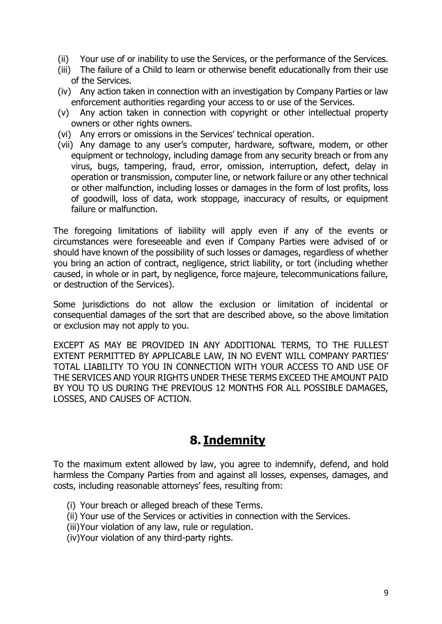- (ii) Your use of or inability to use the Services, or the performance of the Services.
- (iii) The failure of a Child to learn or otherwise benefit educationally from their use of the Services.
- (iv) Any action taken in connection with an investigation by Company Parties or law enforcement authorities regarding your access to or use of the Services.
- (v) Any action taken in connection with copyright or other intellectual property owners or other rights owners.
- (vi) Any errors or omissions in the Services' technical operation.
- (vii) Any damage to any user's computer, hardware, software, modem, or other equipment or technology, including damage from any security breach or from any virus, bugs, tampering, fraud, error, omission, interruption, defect, delay in operation or transmission, computer line, or network failure or any other technical or other malfunction, including losses or damages in the form of lost profits, loss of goodwill, loss of data, work stoppage, inaccuracy of results, or equipment failure or malfunction.

The foregoing limitations of liability will apply even if any of the events or circumstances were foreseeable and even if Company Parties were advised of or should have known of the possibility of such losses or damages, regardless of whether you bring an action of contract, negligence, strict liability, or tort (including whether caused, in whole or in part, by negligence, force majeure, telecommunications failure, or destruction of the Services).

Some jurisdictions do not allow the exclusion or limitation of incidental or consequential damages of the sort that are described above, so the above limitation or exclusion may not apply to you.

EXCEPT AS MAY BE PROVIDED IN ANY ADDITIONAL TERMS, TO THE FULLEST EXTENT PERMITTED BY APPLICABLE LAW, IN NO EVENT WILL COMPANY PARTIES' TOTAL LIABILITY TO YOU IN CONNECTION WITH YOUR ACCESS TO AND USE OF THE SERVICES AND YOUR RIGHTS UNDER THESE TERMS EXCEED THE AMOUNT PAID BY YOU TO US DURING THE PREVIOUS 12 MONTHS FOR ALL POSSIBLE DAMAGES, LOSSES, AND CAUSES OF ACTION.

### **8. Indemnity**

<span id="page-8-0"></span>To the maximum extent allowed by law, you agree to indemnify, defend, and hold harmless the Company Parties from and against all losses, expenses, damages, and costs, including reasonable attorneys' fees, resulting from:

- (i) Your breach or alleged breach of these Terms.
- (ii) Your use of the Services or activities in connection with the Services.
- (iii)Your violation of any law, rule or regulation.
- (iv)Your violation of any third-party rights.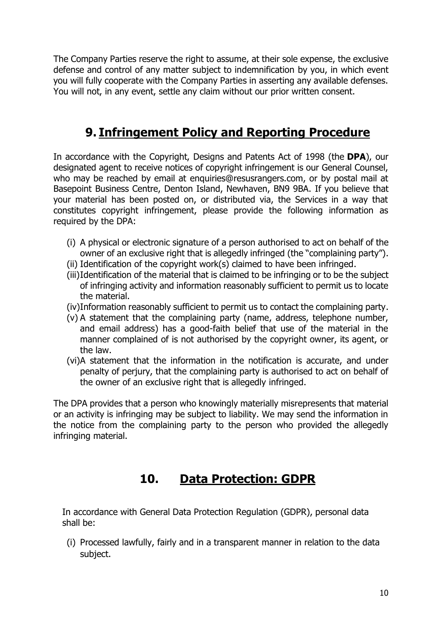The Company Parties reserve the right to assume, at their sole expense, the exclusive defense and control of any matter subject to indemnification by you, in which event you will fully cooperate with the Company Parties in asserting any available defenses. You will not, in any event, settle any claim without our prior written consent.

# **9. Infringement Policy and Reporting Procedure**

<span id="page-9-0"></span>In accordance with the Copyright, Designs and Patents Act of 1998 (the **DPA**), our designated agent to receive notices of copyright infringement is our General Counsel, who may be reached by email at enquiries@resusrangers.com, or by postal mail at Basepoint Business Centre, Denton Island, Newhaven, BN9 9BA. If you believe that your material has been posted on, or distributed via, the Services in a way that constitutes copyright infringement, please provide the following information as required by the DPA:

- (i) A physical or electronic signature of a person authorised to act on behalf of the owner of an exclusive right that is allegedly infringed (the "complaining party").
- (ii) Identification of the copyright work(s) claimed to have been infringed.
- (iii)Identification of the material that is claimed to be infringing or to be the subject of infringing activity and information reasonably sufficient to permit us to locate the material.
- (iv)Information reasonably sufficient to permit us to contact the complaining party.
- (v) A statement that the complaining party (name, address, telephone number, and email address) has a good-faith belief that use of the material in the manner complained of is not authorised by the copyright owner, its agent, or the law.
- (vi)A statement that the information in the notification is accurate, and under penalty of perjury, that the complaining party is authorised to act on behalf of the owner of an exclusive right that is allegedly infringed.

The DPA provides that a person who knowingly materially misrepresents that material or an activity is infringing may be subject to liability. We may send the information in the notice from the complaining party to the person who provided the allegedly infringing material.

# **10. Data Protection: GDPR**

<span id="page-9-1"></span>In accordance with General Data Protection Regulation (GDPR), personal data shall be:

(i) Processed lawfully, fairly and in a transparent manner in relation to the data subject.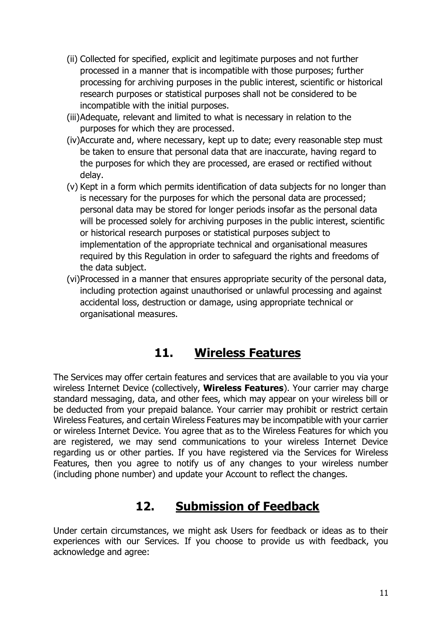- (ii) Collected for specified, explicit and legitimate purposes and not further processed in a manner that is incompatible with those purposes; further processing for archiving purposes in the public interest, scientific or historical research purposes or statistical purposes shall not be considered to be incompatible with the initial purposes.
- (iii)Adequate, relevant and limited to what is necessary in relation to the purposes for which they are processed.
- (iv)Accurate and, where necessary, kept up to date; every reasonable step must be taken to ensure that personal data that are inaccurate, having regard to the purposes for which they are processed, are erased or rectified without delay.
- (v) Kept in a form which permits identification of data subjects for no longer than is necessary for the purposes for which the personal data are processed; personal data may be stored for longer periods insofar as the personal data will be processed solely for archiving purposes in the public interest, scientific or historical research purposes or statistical purposes subject to implementation of the appropriate technical and organisational measures required by this Regulation in order to safeguard the rights and freedoms of the data subject.
- (vi)Processed in a manner that ensures appropriate security of the personal data, including protection against unauthorised or unlawful processing and against accidental loss, destruction or damage, using appropriate technical or organisational measures.

### **11. Wireless Features**

<span id="page-10-0"></span>The Services may offer certain features and services that are available to you via your wireless Internet Device (collectively, **Wireless Features**). Your carrier may charge standard messaging, data, and other fees, which may appear on your wireless bill or be deducted from your prepaid balance. Your carrier may prohibit or restrict certain Wireless Features, and certain Wireless Features may be incompatible with your carrier or wireless Internet Device. You agree that as to the Wireless Features for which you are registered, we may send communications to your wireless Internet Device regarding us or other parties. If you have registered via the Services for Wireless Features, then you agree to notify us of any changes to your wireless number (including phone number) and update your Account to reflect the changes.

### **12. Submission of Feedback**

<span id="page-10-1"></span>Under certain circumstances, we might ask Users for feedback or ideas as to their experiences with our Services. If you choose to provide us with feedback, you acknowledge and agree: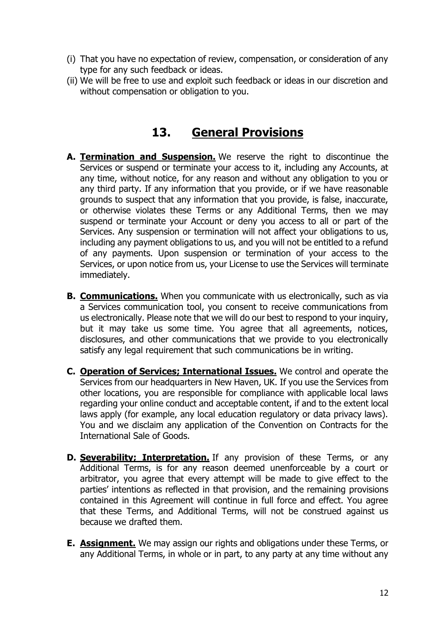- (i) That you have no expectation of review, compensation, or consideration of any type for any such feedback or ideas.
- (ii) We will be free to use and exploit such feedback or ideas in our discretion and without compensation or obligation to you.

#### **13. General Provisions**

- <span id="page-11-0"></span>**A. Termination and Suspension.** We reserve the right to discontinue the Services or suspend or terminate your access to it, including any Accounts, at any time, without notice, for any reason and without any obligation to you or any third party. If any information that you provide, or if we have reasonable grounds to suspect that any information that you provide, is false, inaccurate, or otherwise violates these Terms or any Additional Terms, then we may suspend or terminate your Account or deny you access to all or part of the Services. Any suspension or termination will not affect your obligations to us, including any payment obligations to us, and you will not be entitled to a refund of any payments. Upon suspension or termination of your access to the Services, or upon notice from us, your License to use the Services will terminate immediately.
- **B. Communications.** When you communicate with us electronically, such as via a Services communication tool, you consent to receive communications from us electronically. Please note that we will do our best to respond to your inquiry, but it may take us some time. You agree that all agreements, notices, disclosures, and other communications that we provide to you electronically satisfy any legal requirement that such communications be in writing.
- **C. Operation of Services; International Issues.** We control and operate the Services from our headquarters in New Haven, UK. If you use the Services from other locations, you are responsible for compliance with applicable local laws regarding your online conduct and acceptable content, if and to the extent local laws apply (for example, any local education regulatory or data privacy laws). You and we disclaim any application of the Convention on Contracts for the International Sale of Goods.
- **D. Severability; Interpretation.** If any provision of these Terms, or any Additional Terms, is for any reason deemed unenforceable by a court or arbitrator, you agree that every attempt will be made to give effect to the parties' intentions as reflected in that provision, and the remaining provisions contained in this Agreement will continue in full force and effect. You agree that these Terms, and Additional Terms, will not be construed against us because we drafted them.
- **E. Assignment.** We may assign our rights and obligations under these Terms, or any Additional Terms, in whole or in part, to any party at any time without any